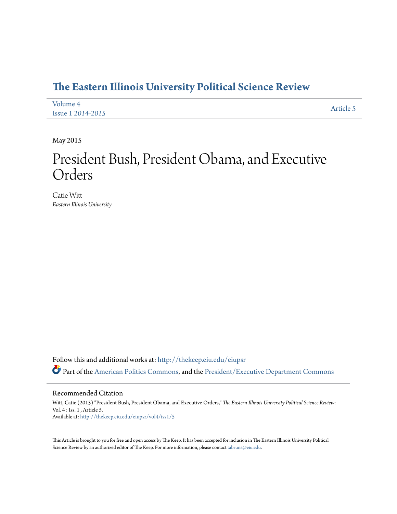# **[The Eastern Illinois University Political Science Review](http://thekeep.eiu.edu/eiupsr?utm_source=thekeep.eiu.edu%2Feiupsr%2Fvol4%2Fiss1%2F5&utm_medium=PDF&utm_campaign=PDFCoverPages)**

| Volume 4                 | Article 5 |
|--------------------------|-----------|
| <b>Issue 1 2014-2015</b> |           |

May 2015

# President Bush, President Obama, and Executive Orders

Catie Witt *Eastern Illinois University*

Follow this and additional works at: [http://thekeep.eiu.edu/eiupsr](http://thekeep.eiu.edu/eiupsr?utm_source=thekeep.eiu.edu%2Feiupsr%2Fvol4%2Fiss1%2F5&utm_medium=PDF&utm_campaign=PDFCoverPages) Part of the [American Politics Commons](http://network.bepress.com/hgg/discipline/387?utm_source=thekeep.eiu.edu%2Feiupsr%2Fvol4%2Fiss1%2F5&utm_medium=PDF&utm_campaign=PDFCoverPages), and the [President/Executive Department Commons](http://network.bepress.com/hgg/discipline/1118?utm_source=thekeep.eiu.edu%2Feiupsr%2Fvol4%2Fiss1%2F5&utm_medium=PDF&utm_campaign=PDFCoverPages)

Recommended Citation

Witt, Catie (2015) "President Bush, President Obama, and Executive Orders," *The Eastern Illinois University Political Science Review*: Vol. 4 : Iss. 1 , Article 5. Available at: [http://thekeep.eiu.edu/eiupsr/vol4/iss1/5](http://thekeep.eiu.edu/eiupsr/vol4/iss1/5?utm_source=thekeep.eiu.edu%2Feiupsr%2Fvol4%2Fiss1%2F5&utm_medium=PDF&utm_campaign=PDFCoverPages)

This Article is brought to you for free and open access by The Keep. It has been accepted for inclusion in The Eastern Illinois University Political Science Review by an authorized editor of The Keep. For more information, please contact [tabruns@eiu.edu](mailto:tabruns@eiu.edu).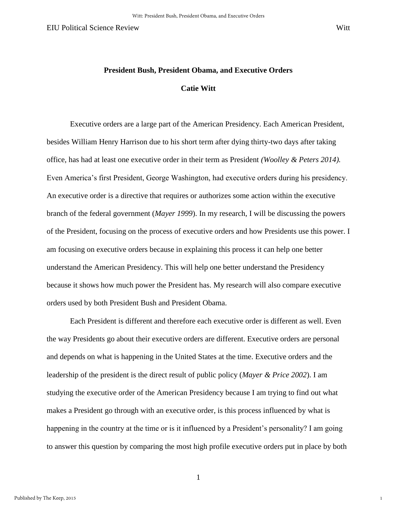1

# **President Bush, President Obama, and Executive Orders Catie Witt**

 Executive orders are a large part of the American Presidency. Each American President, besides William Henry Harrison due to his short term after dying thirty-two days after taking office, has had at least one executive order in their term as President *(Woolley & Peters 2014).* Even America's first President, George Washington, had executive orders during his presidency. An executive order is a directive that requires or authorizes some action within the executive branch of the federal government (*Mayer 1999*). In my research, I will be discussing the powers of the President, focusing on the process of executive orders and how Presidents use this power. I am focusing on executive orders because in explaining this process it can help one better understand the American Presidency. This will help one better understand the Presidency because it shows how much power the President has. My research will also compare executive orders used by both President Bush and President Obama.

 Each President is different and therefore each executive order is different as well. Even the way Presidents go about their executive orders are different. Executive orders are personal and depends on what is happening in the United States at the time. Executive orders and the leadership of the president is the direct result of public policy (*Mayer & Price 2002*). I am studying the executive order of the American Presidency because I am trying to find out what makes a President go through with an executive order, is this process influenced by what is happening in the country at the time or is it influenced by a President's personality? I am going to answer this question by comparing the most high profile executive orders put in place by both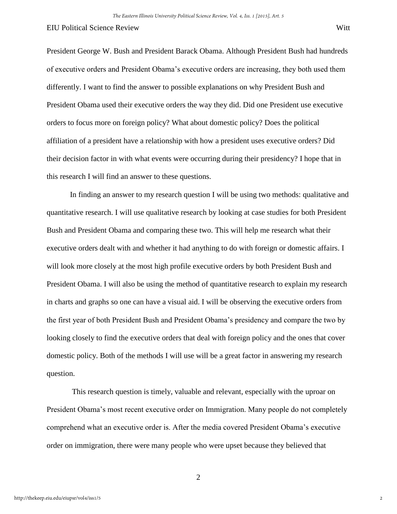President George W. Bush and President Barack Obama. Although President Bush had hundreds of executive orders and President Obama's executive orders are increasing, they both used them differently. I want to find the answer to possible explanations on why President Bush and President Obama used their executive orders the way they did. Did one President use executive orders to focus more on foreign policy? What about domestic policy? Does the political affiliation of a president have a relationship with how a president uses executive orders? Did their decision factor in with what events were occurring during their presidency? I hope that in this research I will find an answer to these questions.

 In finding an answer to my research question I will be using two methods: qualitative and quantitative research. I will use qualitative research by looking at case studies for both President Bush and President Obama and comparing these two. This will help me research what their executive orders dealt with and whether it had anything to do with foreign or domestic affairs. I will look more closely at the most high profile executive orders by both President Bush and President Obama. I will also be using the method of quantitative research to explain my research in charts and graphs so one can have a visual aid. I will be observing the executive orders from the first year of both President Bush and President Obama's presidency and compare the two by looking closely to find the executive orders that deal with foreign policy and the ones that cover domestic policy. Both of the methods I will use will be a great factor in answering my research question.

 This research question is timely, valuable and relevant, especially with the uproar on President Obama's most recent executive order on Immigration. Many people do not completely comprehend what an executive order is. After the media covered President Obama's executive order on immigration, there were many people who were upset because they believed that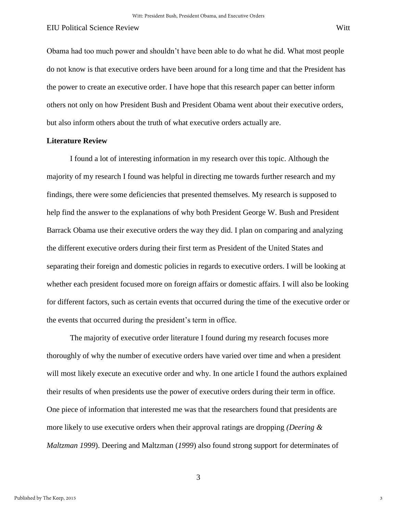Obama had too much power and shouldn't have been able to do what he did. What most people do not know is that executive orders have been around for a long time and that the President has the power to create an executive order. I have hope that this research paper can better inform others not only on how President Bush and President Obama went about their executive orders,

but also inform others about the truth of what executive orders actually are.

#### **Literature Review**

I found a lot of interesting information in my research over this topic. Although the majority of my research I found was helpful in directing me towards further research and my findings, there were some deficiencies that presented themselves. My research is supposed to help find the answer to the explanations of why both President George W. Bush and President Barrack Obama use their executive orders the way they did. I plan on comparing and analyzing the different executive orders during their first term as President of the United States and separating their foreign and domestic policies in regards to executive orders. I will be looking at whether each president focused more on foreign affairs or domestic affairs. I will also be looking for different factors, such as certain events that occurred during the time of the executive order or the events that occurred during the president's term in office.

 The majority of executive order literature I found during my research focuses more thoroughly of why the number of executive orders have varied over time and when a president will most likely execute an executive order and why. In one article I found the authors explained their results of when presidents use the power of executive orders during their term in office. One piece of information that interested me was that the researchers found that presidents are more likely to use executive orders when their approval ratings are dropping *(Deering & Maltzman 1999*). Deering and Maltzman (*1999*) also found strong support for determinates of

3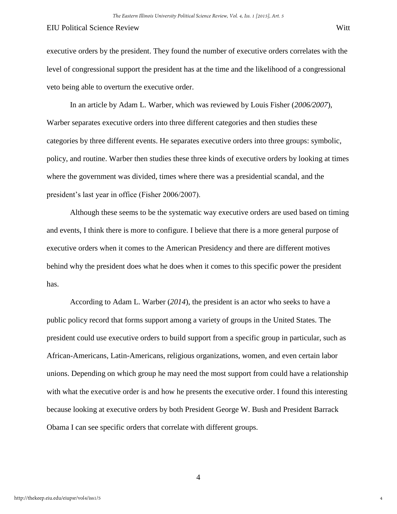executive orders by the president. They found the number of executive orders correlates with the level of congressional support the president has at the time and the likelihood of a congressional veto being able to overturn the executive order.

 In an article by Adam L. Warber, which was reviewed by Louis Fisher (*2006/2007*), Warber separates executive orders into three different categories and then studies these categories by three different events. He separates executive orders into three groups: symbolic, policy, and routine. Warber then studies these three kinds of executive orders by looking at times where the government was divided, times where there was a presidential scandal, and the president's last year in office (Fisher 2006/2007).

 Although these seems to be the systematic way executive orders are used based on timing and events, I think there is more to configure. I believe that there is a more general purpose of executive orders when it comes to the American Presidency and there are different motives behind why the president does what he does when it comes to this specific power the president has.

 According to Adam L. Warber (*2014*), the president is an actor who seeks to have a public policy record that forms support among a variety of groups in the United States. The president could use executive orders to build support from a specific group in particular, such as African-Americans, Latin-Americans, religious organizations, women, and even certain labor unions. Depending on which group he may need the most support from could have a relationship with what the executive order is and how he presents the executive order. I found this interesting because looking at executive orders by both President George W. Bush and President Barrack Obama I can see specific orders that correlate with different groups.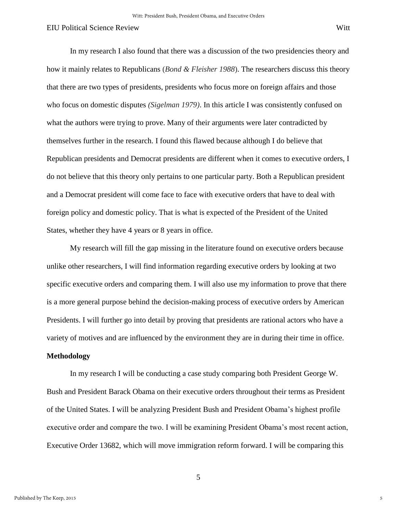In my research I also found that there was a discussion of the two presidencies theory and how it mainly relates to Republicans (*Bond & Fleisher 1988*). The researchers discuss this theory that there are two types of presidents, presidents who focus more on foreign affairs and those who focus on domestic disputes *(Sigelman 1979)*. In this article I was consistently confused on what the authors were trying to prove. Many of their arguments were later contradicted by themselves further in the research. I found this flawed because although I do believe that Republican presidents and Democrat presidents are different when it comes to executive orders, I do not believe that this theory only pertains to one particular party. Both a Republican president and a Democrat president will come face to face with executive orders that have to deal with foreign policy and domestic policy. That is what is expected of the President of the United States, whether they have 4 years or 8 years in office.

 My research will fill the gap missing in the literature found on executive orders because unlike other researchers, I will find information regarding executive orders by looking at two specific executive orders and comparing them. I will also use my information to prove that there is a more general purpose behind the decision-making process of executive orders by American Presidents. I will further go into detail by proving that presidents are rational actors who have a variety of motives and are influenced by the environment they are in during their time in office.

## **Methodology**

 In my research I will be conducting a case study comparing both President George W. Bush and President Barack Obama on their executive orders throughout their terms as President of the United States. I will be analyzing President Bush and President Obama's highest profile executive order and compare the two. I will be examining President Obama's most recent action, Executive Order 13682, which will move immigration reform forward. I will be comparing this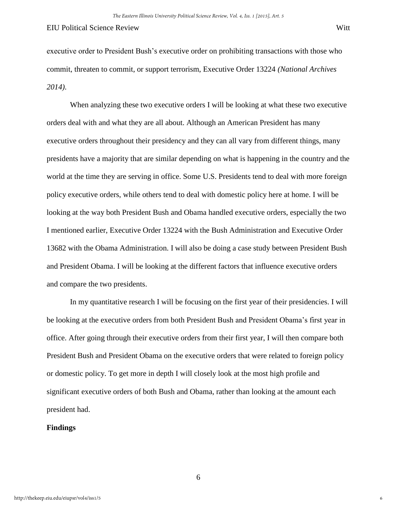executive order to President Bush's executive order on prohibiting transactions with those who commit, threaten to commit, or support terrorism, Executive Order 13224 *(National Archives 2014)*.

 When analyzing these two executive orders I will be looking at what these two executive orders deal with and what they are all about. Although an American President has many executive orders throughout their presidency and they can all vary from different things, many presidents have a majority that are similar depending on what is happening in the country and the world at the time they are serving in office. Some U.S. Presidents tend to deal with more foreign policy executive orders, while others tend to deal with domestic policy here at home. I will be looking at the way both President Bush and Obama handled executive orders, especially the two I mentioned earlier, Executive Order 13224 with the Bush Administration and Executive Order 13682 with the Obama Administration. I will also be doing a case study between President Bush and President Obama. I will be looking at the different factors that influence executive orders and compare the two presidents.

 In my quantitative research I will be focusing on the first year of their presidencies. I will be looking at the executive orders from both President Bush and President Obama's first year in office. After going through their executive orders from their first year, I will then compare both President Bush and President Obama on the executive orders that were related to foreign policy or domestic policy. To get more in depth I will closely look at the most high profile and significant executive orders of both Bush and Obama, rather than looking at the amount each president had.

#### **Findings**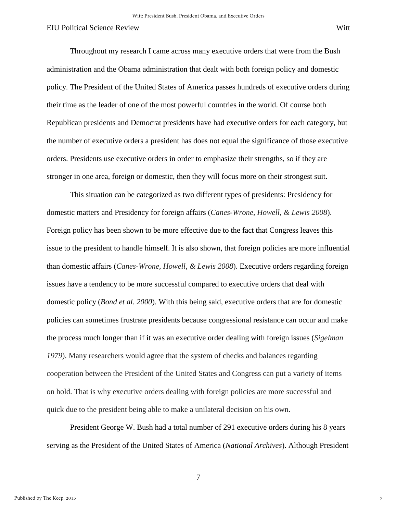Throughout my research I came across many executive orders that were from the Bush administration and the Obama administration that dealt with both foreign policy and domestic policy. The President of the United States of America passes hundreds of executive orders during their time as the leader of one of the most powerful countries in the world. Of course both Republican presidents and Democrat presidents have had executive orders for each category, but the number of executive orders a president has does not equal the significance of those executive orders. Presidents use executive orders in order to emphasize their strengths, so if they are stronger in one area, foreign or domestic, then they will focus more on their strongest suit.

 This situation can be categorized as two different types of presidents: Presidency for domestic matters and Presidency for foreign affairs (*Canes-Wrone, Howell, & Lewis 2008*). Foreign policy has been shown to be more effective due to the fact that Congress leaves this issue to the president to handle himself. It is also shown, that foreign policies are more influential than domestic affairs (*Canes-Wrone, Howell, & Lewis 2008*). Executive orders regarding foreign issues have a tendency to be more successful compared to executive orders that deal with domestic policy (*Bond et al. 2000*). With this being said, executive orders that are for domestic policies can sometimes frustrate presidents because congressional resistance can occur and make the process much longer than if it was an executive order dealing with foreign issues (*Sigelman 1979*). Many researchers would agree that the system of checks and balances regarding cooperation between the President of the United States and Congress can put a variety of items on hold. That is why executive orders dealing with foreign policies are more successful and quick due to the president being able to make a unilateral decision on his own.

 President George W. Bush had a total number of 291 executive orders during his 8 years serving as the President of the United States of America (*National Archives*). Although President

7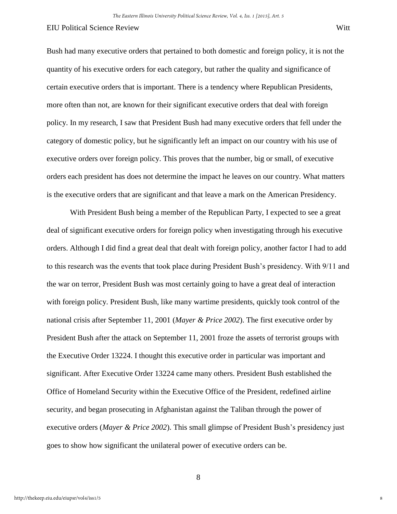Bush had many executive orders that pertained to both domestic and foreign policy, it is not the quantity of his executive orders for each category, but rather the quality and significance of certain executive orders that is important. There is a tendency where Republican Presidents, more often than not, are known for their significant executive orders that deal with foreign policy. In my research, I saw that President Bush had many executive orders that fell under the category of domestic policy, but he significantly left an impact on our country with his use of executive orders over foreign policy. This proves that the number, big or small, of executive orders each president has does not determine the impact he leaves on our country. What matters is the executive orders that are significant and that leave a mark on the American Presidency.

 With President Bush being a member of the Republican Party, I expected to see a great deal of significant executive orders for foreign policy when investigating through his executive orders. Although I did find a great deal that dealt with foreign policy, another factor I had to add to this research was the events that took place during President Bush's presidency. With 9/11 and the war on terror, President Bush was most certainly going to have a great deal of interaction with foreign policy. President Bush, like many wartime presidents, quickly took control of the national crisis after September 11, 2001 (*Mayer & Price 2002*). The first executive order by President Bush after the attack on September 11, 2001 froze the assets of terrorist groups with the Executive Order 13224. I thought this executive order in particular was important and significant. After Executive Order 13224 came many others. President Bush established the Office of Homeland Security within the Executive Office of the President, redefined airline security, and began prosecuting in Afghanistan against the Taliban through the power of executive orders (*Mayer & Price 2002*). This small glimpse of President Bush's presidency just goes to show how significant the unilateral power of executive orders can be.

8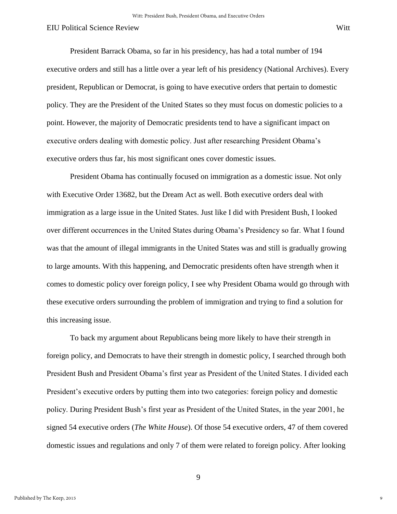President Barrack Obama, so far in his presidency, has had a total number of 194 executive orders and still has a little over a year left of his presidency (National Archives). Every president, Republican or Democrat, is going to have executive orders that pertain to domestic policy. They are the President of the United States so they must focus on domestic policies to a point. However, the majority of Democratic presidents tend to have a significant impact on executive orders dealing with domestic policy. Just after researching President Obama's executive orders thus far, his most significant ones cover domestic issues.

 President Obama has continually focused on immigration as a domestic issue. Not only with Executive Order 13682, but the Dream Act as well. Both executive orders deal with immigration as a large issue in the United States. Just like I did with President Bush, I looked over different occurrences in the United States during Obama's Presidency so far. What I found was that the amount of illegal immigrants in the United States was and still is gradually growing to large amounts. With this happening, and Democratic presidents often have strength when it comes to domestic policy over foreign policy, I see why President Obama would go through with these executive orders surrounding the problem of immigration and trying to find a solution for this increasing issue.

 To back my argument about Republicans being more likely to have their strength in foreign policy, and Democrats to have their strength in domestic policy, I searched through both President Bush and President Obama's first year as President of the United States. I divided each President's executive orders by putting them into two categories: foreign policy and domestic policy. During President Bush's first year as President of the United States, in the year 2001, he signed 54 executive orders (*The White House*). Of those 54 executive orders, 47 of them covered domestic issues and regulations and only 7 of them were related to foreign policy. After looking

9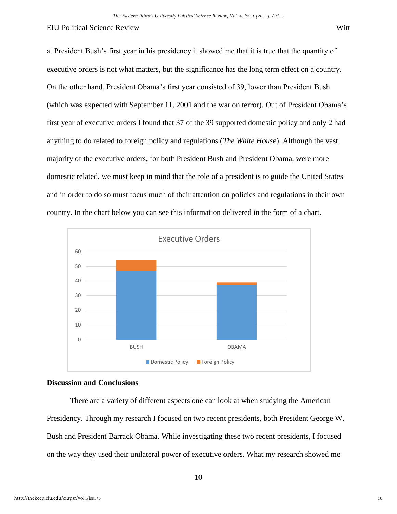at President Bush's first year in his presidency it showed me that it is true that the quantity of executive orders is not what matters, but the significance has the long term effect on a country. On the other hand, President Obama's first year consisted of 39, lower than President Bush (which was expected with September 11, 2001 and the war on terror). Out of President Obama's first year of executive orders I found that 37 of the 39 supported domestic policy and only 2 had anything to do related to foreign policy and regulations (*The White House*). Although the vast majority of the executive orders, for both President Bush and President Obama, were more domestic related, we must keep in mind that the role of a president is to guide the United States and in order to do so must focus much of their attention on policies and regulations in their own country. In the chart below you can see this information delivered in the form of a chart.



## **Discussion and Conclusions**

There are a variety of different aspects one can look at when studying the American Presidency. Through my research I focused on two recent presidents, both President George W. Bush and President Barrack Obama. While investigating these two recent presidents, I focused on the way they used their unilateral power of executive orders. What my research showed me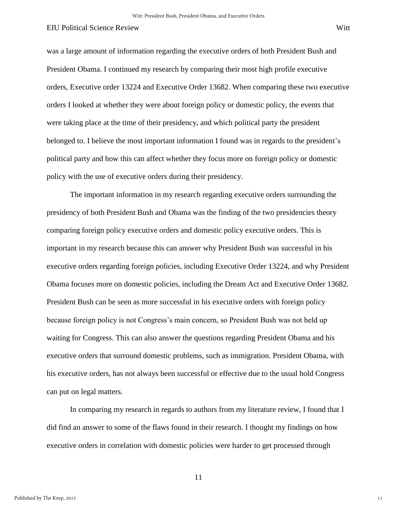was a large amount of information regarding the executive orders of both President Bush and President Obama. I continued my research by comparing their most high profile executive orders, Executive order 13224 and Executive Order 13682. When comparing these two executive orders I looked at whether they were about foreign policy or domestic policy, the events that were taking place at the time of their presidency, and which political party the president belonged to. I believe the most important information I found was in regards to the president's political party and how this can affect whether they focus more on foreign policy or domestic policy with the use of executive orders during their presidency.

 The important information in my research regarding executive orders surrounding the presidency of both President Bush and Obama was the finding of the two presidencies theory comparing foreign policy executive orders and domestic policy executive orders. This is important in my research because this can answer why President Bush was successful in his executive orders regarding foreign policies, including Executive Order 13224, and why President Obama focuses more on domestic policies, including the Dream Act and Executive Order 13682. President Bush can be seen as more successful in his executive orders with foreign policy because foreign policy is not Congress's main concern, so President Bush was not held up waiting for Congress. This can also answer the questions regarding President Obama and his executive orders that surround domestic problems, such as immigration. President Obama, with his executive orders, has not always been successful or effective due to the usual hold Congress can put on legal matters.

 In comparing my research in regards to authors from my literature review, I found that I did find an answer to some of the flaws found in their research. I thought my findings on how executive orders in correlation with domestic policies were harder to get processed through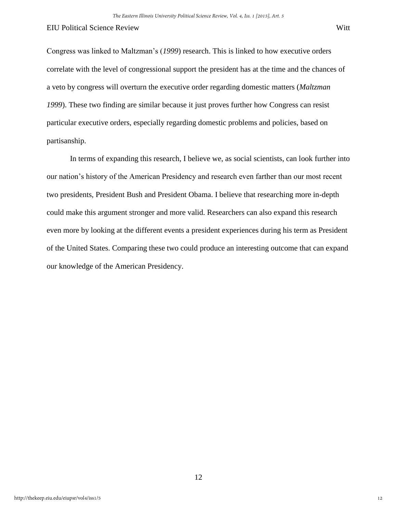Congress was linked to Maltzman's (*1999*) research. This is linked to how executive orders correlate with the level of congressional support the president has at the time and the chances of a veto by congress will overturn the executive order regarding domestic matters (*Maltzman 1999*). These two finding are similar because it just proves further how Congress can resist particular executive orders, especially regarding domestic problems and policies, based on partisanship.

 In terms of expanding this research, I believe we, as social scientists, can look further into our nation's history of the American Presidency and research even farther than our most recent two presidents, President Bush and President Obama. I believe that researching more in-depth could make this argument stronger and more valid. Researchers can also expand this research even more by looking at the different events a president experiences during his term as President of the United States. Comparing these two could produce an interesting outcome that can expand our knowledge of the American Presidency.